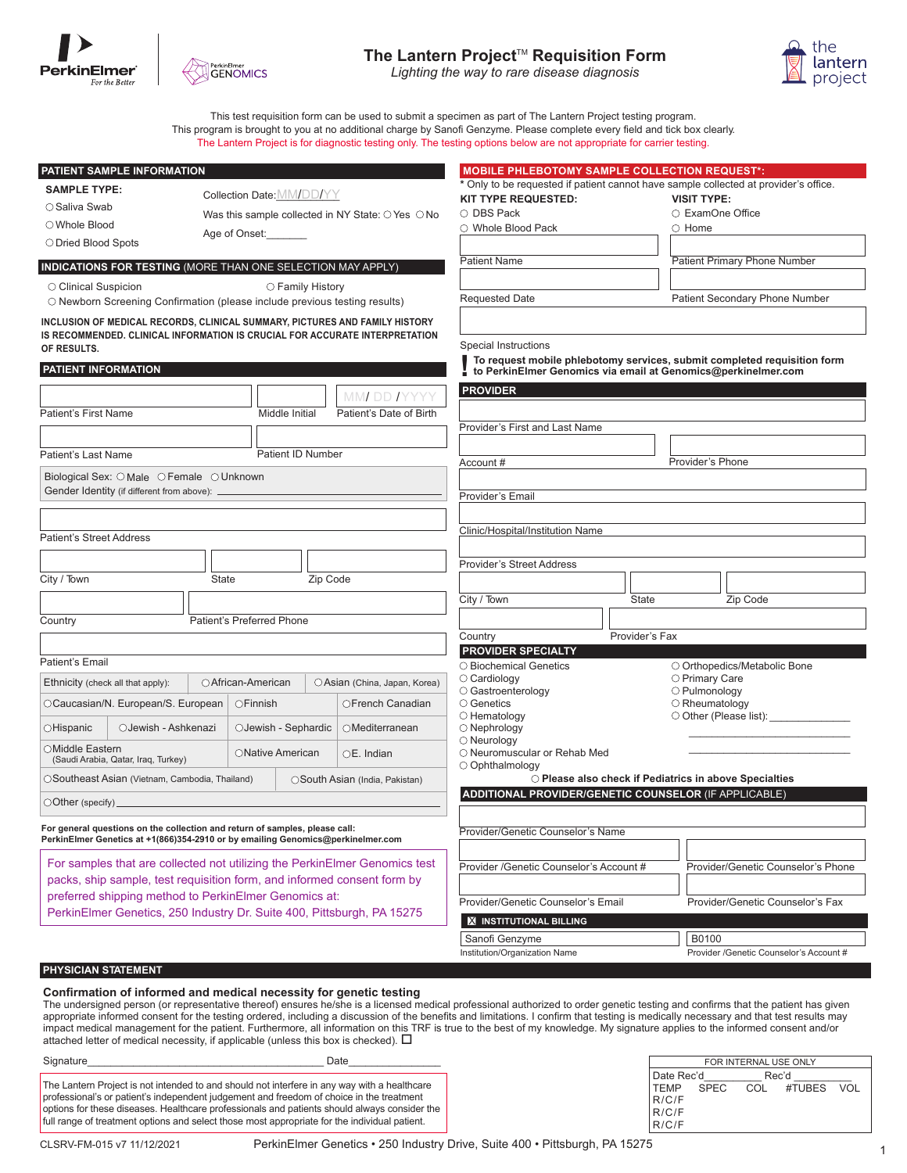





This test requisition form can be used to submit a specimen as part of The Lantern Project testing program. This program is brought to you at no additional charge by Sanofi Genzyme. Please complete every field and tick box clearly. The Lantern Project is for diagnostic testing only. The testing options below are not appropriate for carrier testing.

| PATIENT SAMPLE INFORMATION                                                                                                                                     |                           |                               |                                                      | <b>MOBILE PHLEBOTOMY SAMPLE COLLECTION REQUEST*:</b>         |                                    |                                                                                                                                           |
|----------------------------------------------------------------------------------------------------------------------------------------------------------------|---------------------------|-------------------------------|------------------------------------------------------|--------------------------------------------------------------|------------------------------------|-------------------------------------------------------------------------------------------------------------------------------------------|
| <b>SAMPLE TYPE:</b>                                                                                                                                            |                           | Collection Date: MM/DD/YY     |                                                      |                                                              |                                    | * Only to be requested if patient cannot have sample collected at provider's office.                                                      |
| ○ Saliva Swab                                                                                                                                                  |                           |                               | Was this sample collected in NY State: O Yes O No    | KIT TYPE REQUESTED:<br>○ DBS Pack                            |                                    | <b>VISIT TYPE:</b><br>○ ExamOne Office                                                                                                    |
| ○Whole Blood                                                                                                                                                   |                           |                               |                                                      | ○ Whole Blood Pack                                           |                                    | $\circ$ Home                                                                                                                              |
| ○ Dried Blood Spots                                                                                                                                            | Age of Onset:             |                               |                                                      |                                                              |                                    |                                                                                                                                           |
| <b>INDICATIONS FOR TESTING (MORE THAN ONE SELECTION MAY APPLY)</b>                                                                                             |                           |                               |                                                      | <b>Patient Name</b>                                          |                                    | Patient Primary Phone Number                                                                                                              |
|                                                                                                                                                                |                           |                               |                                                      |                                                              |                                    |                                                                                                                                           |
| ○ Clinical Suspicion<br>O Newborn Screening Confirmation (please include previous testing results)                                                             |                           | ○ Family History              |                                                      | <b>Requested Date</b>                                        |                                    | Patient Secondary Phone Number                                                                                                            |
| INCLUSION OF MEDICAL RECORDS, CLINICAL SUMMARY, PICTURES AND FAMILY HISTORY                                                                                    |                           |                               |                                                      |                                                              |                                    |                                                                                                                                           |
| IS RECOMMENDED. CLINICAL INFORMATION IS CRUCIAL FOR ACCURATE INTERPRETATION                                                                                    |                           |                               |                                                      |                                                              |                                    |                                                                                                                                           |
| OF RESULTS.                                                                                                                                                    |                           |                               |                                                      | Special Instructions                                         |                                    |                                                                                                                                           |
| PATIENT INFORMATION                                                                                                                                            |                           |                               |                                                      |                                                              |                                    | To request mobile phlebotomy services, submit completed requisition form<br>to PerkinElmer Genomics via email at Genomics@perkinelmer.com |
|                                                                                                                                                                |                           |                               |                                                      | <b>PROVIDER</b>                                              |                                    |                                                                                                                                           |
| <b>Patient's First Name</b>                                                                                                                                    |                           | Middle Initial                | MMI DD IYYYY<br>Patient's Date of Birth              |                                                              |                                    |                                                                                                                                           |
|                                                                                                                                                                |                           |                               |                                                      | Provider's First and Last Name                               |                                    |                                                                                                                                           |
|                                                                                                                                                                |                           |                               |                                                      |                                                              |                                    |                                                                                                                                           |
| Patient's Last Name                                                                                                                                            |                           | Patient ID Number             |                                                      | Account #                                                    |                                    | Provider's Phone                                                                                                                          |
| Biological Sex: O Male O Female O Unknown                                                                                                                      |                           |                               |                                                      |                                                              |                                    |                                                                                                                                           |
| Gender Identity (if different from above): _                                                                                                                   |                           |                               |                                                      | Provider's Email                                             |                                    |                                                                                                                                           |
|                                                                                                                                                                |                           |                               |                                                      |                                                              |                                    |                                                                                                                                           |
| <b>Patient's Street Address</b>                                                                                                                                |                           |                               |                                                      | Clinic/Hospital/Institution Name                             |                                    |                                                                                                                                           |
|                                                                                                                                                                |                           |                               |                                                      |                                                              |                                    |                                                                                                                                           |
|                                                                                                                                                                |                           |                               |                                                      | <b>Provider's Street Address</b>                             |                                    |                                                                                                                                           |
| City / Town                                                                                                                                                    | <b>State</b>              | Zip Code                      |                                                      |                                                              |                                    |                                                                                                                                           |
|                                                                                                                                                                |                           |                               |                                                      | City / Town                                                  | State                              | Zip Code                                                                                                                                  |
| Country                                                                                                                                                        | Patient's Preferred Phone |                               |                                                      |                                                              |                                    |                                                                                                                                           |
|                                                                                                                                                                |                           |                               |                                                      | Country                                                      | Provider's Fax                     |                                                                                                                                           |
| Patient's Email                                                                                                                                                |                           |                               |                                                      | <b>PROVIDER SPECIALTY</b>                                    |                                    |                                                                                                                                           |
|                                                                                                                                                                |                           |                               |                                                      | O Biochemical Genetics<br>$\circ$ Cardiology                 |                                    | O Orthopedics/Metabolic Bone<br>O Primary Care                                                                                            |
| Ethnicity (check all that apply):<br>○ African-American                                                                                                        |                           | ○ Asian (China, Japan, Korea) | O Gastroenterology<br>O Pulmonology                  |                                                              |                                    |                                                                                                                                           |
| OCaucasian/N. European/S. European                                                                                                                             | ○Finnish                  |                               | OFrench Canadian                                     | ○ Genetics<br>$\bigcirc$ Hematology                          |                                    | $\bigcirc$ Rheumatology<br>O Other (Please list): ______________                                                                          |
| ○Hispanic<br>○Jewish - Ashkenazi                                                                                                                               |                           | OJewish - Sephardic           | OMediterranean                                       | $\bigcirc$ Nephrology                                        |                                    |                                                                                                                                           |
| OMiddle Eastern<br>ONative American                                                                                                                            |                           | $OE.$ Indian                  | $\bigcirc$ Neurology<br>O Neuromuscular or Rehab Med |                                                              |                                    |                                                                                                                                           |
| (Saudi Arabia, Qatar, Iraq, Turkey)                                                                                                                            |                           |                               |                                                      | O Ophthalmology                                              |                                    |                                                                                                                                           |
| OSoutheast Asian (Vietnam, Cambodia, Thailand)                                                                                                                 |                           |                               | OSouth Asian (India, Pakistan)                       |                                                              |                                    | ○ Please also check if Pediatrics in above Specialties                                                                                    |
| $\bigcirc$ Other (specify) $\overline{\phantom{a}}$                                                                                                            |                           |                               |                                                      | <b>ADDITIONAL PROVIDER/GENETIC COUNSELOR (IF APPLICABLE)</b> |                                    |                                                                                                                                           |
|                                                                                                                                                                |                           |                               |                                                      |                                                              |                                    |                                                                                                                                           |
| For general questions on the collection and return of samples, please call:<br>PerkinElmer Genetics at +1(866)354-2910 or by emailing Genomics@perkinelmer.com |                           |                               |                                                      | Provider/Genetic Counselor's Name                            |                                    |                                                                                                                                           |
|                                                                                                                                                                |                           |                               |                                                      |                                                              |                                    |                                                                                                                                           |
| For samples that are collected not utilizing the PerkinElmer Genomics test                                                                                     |                           |                               | Provider / Genetic Counselor's Account #             |                                                              | Provider/Genetic Counselor's Phone |                                                                                                                                           |
| packs, ship sample, test requisition form, and informed consent form by<br>preferred shipping method to PerkinElmer Genomics at:                               |                           |                               |                                                      |                                                              |                                    |                                                                                                                                           |
| PerkinElmer Genetics, 250 Industry Dr. Suite 400, Pittsburgh, PA 15275                                                                                         |                           |                               |                                                      | Provider/Genetic Counselor's Email                           |                                    | Provider/Genetic Counselor's Fax                                                                                                          |
|                                                                                                                                                                |                           |                               |                                                      | <b>X INSTITUTIONAL BILLING</b>                               |                                    |                                                                                                                                           |
|                                                                                                                                                                |                           |                               |                                                      | Sanofi Genzyme                                               |                                    | B0100                                                                                                                                     |
|                                                                                                                                                                |                           |                               |                                                      | Institution/Organization Name                                |                                    | Provider /Genetic Counselor's Account #                                                                                                   |

## **PHYSICIAN STATEMENT**

#### **Confirmation of informed and medical necessity for genetic testing**

The undersigned person (or representative thereof) ensures he/she is a licensed medical professional authorized to order genetic testing and confirms that the patient has given appropriate informed consent for the testing ordered, including a discussion of the benefits and limitations. I confirm that testing is medically necessary and that test results may impact medical management for the patient. Furthermore, all information on this TRF is true to the best of my knowledge. My signature applies to the informed consent and/or attached letter of medical necessity, if applicable (unless this box is checked).  $\Box$ 

| Signature | Date                                                                                                                                                                                                                                                                                                                                                                                      |
|-----------|-------------------------------------------------------------------------------------------------------------------------------------------------------------------------------------------------------------------------------------------------------------------------------------------------------------------------------------------------------------------------------------------|
|           | The Lantern Project is not intended to and should not interfere in any way with a healthcare<br>professional's or patient's independent judgement and freedom of choice in the treatment<br>options for these diseases. Healthcare professionals and patients should always consider the<br>full range of treatment options and select those most appropriate for the individual patient. |

| FOR INTERNAL USE ONLY |            |  |                          |  |  |
|-----------------------|------------|--|--------------------------|--|--|
|                       | Date Rec'd |  | Rec'd                    |  |  |
|                       |            |  | TEMP SPEC COL #TUBES VOL |  |  |
| R/C/F                 |            |  |                          |  |  |
| R/C/F                 |            |  |                          |  |  |
| R/C/F                 |            |  |                          |  |  |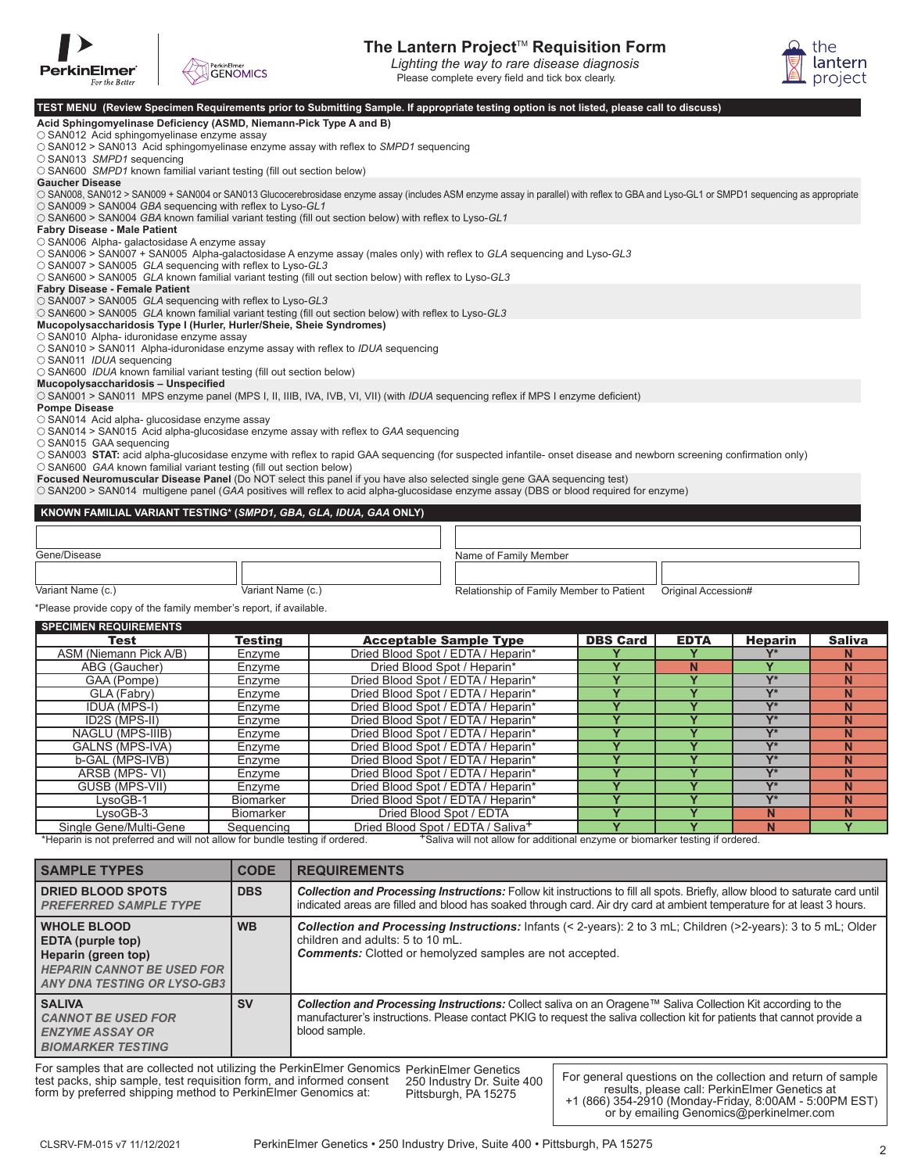



## **The Lantern Project<sup>™</sup> Requisition Form**

Please complete every field and tick box clearly. *Lighting the way to rare disease diagnosis*



| For the Better                                                                                                                                                                                                    | $\sqrt{ }$        |                                          | Please complete every field and tick box clearly. |                         |                         |                  | <b>EL</b> project       |
|-------------------------------------------------------------------------------------------------------------------------------------------------------------------------------------------------------------------|-------------------|------------------------------------------|---------------------------------------------------|-------------------------|-------------------------|------------------|-------------------------|
| TEST MENU (Review Specimen Requirements prior to Submitting Sample. If appropriate testing option is not listed, please call to discuss)                                                                          |                   |                                          |                                                   |                         |                         |                  |                         |
| Acid Sphingomyelinase Deficiency (ASMD, Niemann-Pick Type A and B)                                                                                                                                                |                   |                                          |                                                   |                         |                         |                  |                         |
| $\circ$ SAN012 Acid sphingomyelinase enzyme assay                                                                                                                                                                 |                   |                                          |                                                   |                         |                         |                  |                         |
| $\circ$ SAN012 > SAN013 Acid sphingomyelinase enzyme assay with reflex to SMPD1 sequencing                                                                                                                        |                   |                                          |                                                   |                         |                         |                  |                         |
| ○ SAN013 SMPD1 sequencing                                                                                                                                                                                         |                   |                                          |                                                   |                         |                         |                  |                         |
| ○ SAN600 SMPD1 known familial variant testing (fill out section below)                                                                                                                                            |                   |                                          |                                                   |                         |                         |                  |                         |
| <b>Gaucher Disease</b><br>○ SAN008, SAN012 > SAN009 + SAN004 or SAN013 Glucocerebrosidase enzyme assay (includes ASM enzyme assay in parallel) with reflex to GBA and Lyso-GL1 or SMPD1 sequencing as appropriate |                   |                                          |                                                   |                         |                         |                  |                         |
| $\circ$ SAN009 > SAN004 GBA sequencing with reflex to Lyso-GL1                                                                                                                                                    |                   |                                          |                                                   |                         |                         |                  |                         |
| O SAN600 > SAN004 GBA known familial variant testing (fill out section below) with reflex to Lyso-GL1                                                                                                             |                   |                                          |                                                   |                         |                         |                  |                         |
| <b>Fabry Disease - Male Patient</b>                                                                                                                                                                               |                   |                                          |                                                   |                         |                         |                  |                         |
| ○ SAN006 Alpha- galactosidase A enzyme assay                                                                                                                                                                      |                   |                                          |                                                   |                         |                         |                  |                         |
| ○ SAN006 > SAN007 + SAN005 Alpha-galactosidase A enzyme assay (males only) with reflex to GLA sequencing and Lyso-GL3                                                                                             |                   |                                          |                                                   |                         |                         |                  |                         |
| $\circ$ SAN007 > SAN005 GLA sequencing with reflex to Lyso-GL3<br>$\circ$ SAN600 > SAN005 GLA known familial variant testing (fill out section below) with reflex to Lyso-GL3                                     |                   |                                          |                                                   |                         |                         |                  |                         |
| <b>Fabry Disease - Female Patient</b>                                                                                                                                                                             |                   |                                          |                                                   |                         |                         |                  |                         |
| O SAN007 > SAN005 GLA sequencing with reflex to Lyso-GL3                                                                                                                                                          |                   |                                          |                                                   |                         |                         |                  |                         |
| ○ SAN600 > SAN005 GLA known familial variant testing (fill out section below) with reflex to Lyso-GL3                                                                                                             |                   |                                          |                                                   |                         |                         |                  |                         |
| Mucopolysaccharidosis Type I (Hurler, Hurler/Sheie, Sheie Syndromes)                                                                                                                                              |                   |                                          |                                                   |                         |                         |                  |                         |
| ○ SAN010 Alpha- iduronidase enzyme assay<br>$\circ$ SAN010 > SAN011 Alpha-iduronidase enzyme assay with reflex to IDUA sequencing                                                                                 |                   |                                          |                                                   |                         |                         |                  |                         |
| ○ SAN011 IDUA sequencing                                                                                                                                                                                          |                   |                                          |                                                   |                         |                         |                  |                         |
| O SAN600 IDUA known familial variant testing (fill out section below)                                                                                                                                             |                   |                                          |                                                   |                         |                         |                  |                         |
| Mucopolysaccharidosis - Unspecified                                                                                                                                                                               |                   |                                          |                                                   |                         |                         |                  |                         |
| ○ SAN001 > SAN011 MPS enzyme panel (MPS I, II, IIIB, IVA, IVB, VI, VII) (with <i>IDUA</i> sequencing reflex if MPS I enzyme deficient)                                                                            |                   |                                          |                                                   |                         |                         |                  |                         |
| <b>Pompe Disease</b>                                                                                                                                                                                              |                   |                                          |                                                   |                         |                         |                  |                         |
| O SAN014 Acid alpha- glucosidase enzyme assay<br>$\circ$ SAN014 > SAN015 Acid alpha-glucosidase enzyme assay with reflex to GAA sequencing                                                                        |                   |                                          |                                                   |                         |                         |                  |                         |
| ○ SAN015 GAA sequencing                                                                                                                                                                                           |                   |                                          |                                                   |                         |                         |                  |                         |
| ○ SAN003 STAT: acid alpha-glucosidase enzyme with reflex to rapid GAA sequencing (for suspected infantile- onset disease and newborn screening confirmation only)                                                 |                   |                                          |                                                   |                         |                         |                  |                         |
| O SAN600 GAA known familial variant testing (fill out section below)                                                                                                                                              |                   |                                          |                                                   |                         |                         |                  |                         |
| Focused Neuromuscular Disease Panel (Do NOT select this panel if you have also selected single gene GAA sequencing test)                                                                                          |                   |                                          |                                                   |                         |                         |                  |                         |
| ○ SAN200 > SAN014 multigene panel (GAA positives will reflex to acid alpha-glucosidase enzyme assay (DBS or blood required for enzyme)                                                                            |                   |                                          |                                                   |                         |                         |                  |                         |
| KNOWN FAMILIAL VARIANT TESTING* (SMPD1, GBA, GLA, IDUA, GAA ONLY)                                                                                                                                                 |                   |                                          |                                                   |                         |                         |                  |                         |
|                                                                                                                                                                                                                   |                   |                                          |                                                   |                         |                         |                  |                         |
|                                                                                                                                                                                                                   |                   |                                          |                                                   |                         |                         |                  |                         |
| Gene/Disease                                                                                                                                                                                                      |                   | Name of Family Member                    |                                                   |                         |                         |                  |                         |
|                                                                                                                                                                                                                   |                   |                                          |                                                   |                         |                         |                  |                         |
|                                                                                                                                                                                                                   |                   |                                          |                                                   |                         |                         |                  |                         |
| Variant Name (c.)                                                                                                                                                                                                 | Variant Name (c.) | Relationship of Family Member to Patient |                                                   |                         | Original Accession#     |                  |                         |
| *Please provide copy of the family member's report, if available.                                                                                                                                                 |                   |                                          |                                                   |                         |                         |                  |                         |
| <b>SPECIMEN REQUIREMENTS</b>                                                                                                                                                                                      |                   |                                          |                                                   |                         |                         |                  |                         |
| <b>Test</b>                                                                                                                                                                                                       | <b>Testing</b>    | <b>Acceptable Sample Type</b>            |                                                   | <b>DBS Card</b>         | <b>EDTA</b>             | <b>Heparin</b>   | <b>Saliva</b>           |
| ASM (Niemann Pick A/B)                                                                                                                                                                                            | Enzyme            | Dried Blood Spot / EDTA / Heparin*       |                                                   |                         | Υ                       | Y*               | N                       |
| ABG (Gaucher)                                                                                                                                                                                                     | Enzyme            | Dried Blood Spot / Heparin*              |                                                   | $\overline{\mathsf{Y}}$ | N                       | Ÿ                | N                       |
| GAA (Pompe)                                                                                                                                                                                                       | Enzyme            | Dried Blood Spot / EDTA / Heparin*       |                                                   | $\overline{\mathsf{Y}}$ | Ÿ                       | $Y^*$            | N.                      |
| GLA (Fabry)                                                                                                                                                                                                       | Enzyme            | Dried Blood Spot / EDTA / Heparin*       |                                                   | $\overline{\mathsf{Y}}$ | $\overline{\mathsf{Y}}$ | $\overline{Y^*}$ | $\mathbf N$             |
| <b>IDUA (MPS-I)</b>                                                                                                                                                                                               | Enzyme            | Dried Blood Spot / EDTA / Heparin*       |                                                   | $\overline{\mathsf{Y}}$ | Y                       | $Y^*$            | N                       |
| ID2S (MPS-II)                                                                                                                                                                                                     | Enzyme            | Dried Blood Spot / EDTA / Heparin*       |                                                   | Ÿ                       | Ÿ                       | Y*               | N                       |
| NAGLU (MPS-IIIB)                                                                                                                                                                                                  | Enzyme            | Dried Blood Spot / EDTA / Heparin*       |                                                   | $\overline{Y}$          | Ÿ                       | $\overline{Y^*}$ | $\overline{\mathsf{N}}$ |
| <b>GALNS (MPS-IVA)</b>                                                                                                                                                                                            | Enzyme            | Dried Blood Spot / EDTA / Heparin*       |                                                   | $\overline{\mathsf{Y}}$ | Ÿ                       | $\overline{Y^*}$ | N                       |
| b-GAL (MPS-IVB)                                                                                                                                                                                                   | Enzyme            | Dried Blood Spot / EDTA / Heparin*       |                                                   | Ÿ                       | Ÿ                       | $Y^*$            | N                       |
| ARSB (MPS-VI)                                                                                                                                                                                                     | Enzyme            | Dried Blood Spot / EDTA / Heparin*       |                                                   | $\overline{\mathsf{Y}}$ | $\overline{\mathsf{Y}}$ | $Y^*$            | N                       |
| GUSB (MPS-VII)                                                                                                                                                                                                    | Enzyme            | Dried Blood Spot / EDTA / Heparin*       |                                                   | $\overline{\mathsf{Y}}$ | $\overline{Y}$          | $\overline{Y^*}$ | $\mathbf N$             |
| LysoGB-1                                                                                                                                                                                                          | Biomarker         | Dried Blood Spot / EDTA / Heparin*       |                                                   | $\overline{Y}$          | Y                       | $Y^*$            | N                       |

LysoGB-3 Biomarker Dried Blood Spot / EDTA **Y Y N N** Single Gene/Multi-Gene Sequencing Dried Blood Spot / EDTA / Saliva+ **Y Y N Y**

Single Gene/Multi-Gene<br>
\*Heparin is not preferred and will not allow for bundle testing if ordered.<br>
\*Saliva will not allow for additional enzyme or biomarker testing if ordered.

| <b>SAMPLE TYPES</b>                                                                                                                | <b>CODE</b> | <b>REQUIREMENTS</b>                                                                                                                                                                                                                                              |
|------------------------------------------------------------------------------------------------------------------------------------|-------------|------------------------------------------------------------------------------------------------------------------------------------------------------------------------------------------------------------------------------------------------------------------|
| DRIED BLOOD SPOTS<br><b>PREFERRED SAMPLE TYPE</b>                                                                                  | <b>DBS</b>  | <b>Collection and Processing Instructions:</b> Follow kit instructions to fill all spots. Briefly, allow blood to saturate card until<br>indicated areas are filled and blood has soaked through card. Air dry card at ambient temperature for at least 3 hours. |
| <b>WHOLE BLOOD</b><br>EDTA (purple top)<br>Heparin (green top)<br><b>HEPARIN CANNOT BE USED FOR</b><br>ANY DNA TESTING OR LYSO-GB3 | <b>WB</b>   | Collection and Processing Instructions: Infants (< 2-years): 2 to 3 mL; Children (>2-years): 3 to 5 mL; Older<br>children and adults: 5 to 10 mL.<br><b>Comments:</b> Clotted or hemolyzed samples are not accepted.                                             |
| <b>SALIVA</b><br><b>CANNOT BE USED FOR</b><br><b>ENZYME ASSAY OR</b><br><b>BIOMARKER TESTING</b>                                   | <b>SV</b>   | Collection and Processing Instructions: Collect saliva on an Oragene™ Saliva Collection Kit according to the<br>manufacturer's instructions. Please contact PKIG to request the saliva collection kit for patients that cannot provide a<br>blood sample.        |
|                                                                                                                                    |             | $\Gamma$ or comples that are collected not utilizing the Derkin $\Gamma$ mer Conemice Deuts $\Gamma$ us $\sim$ Question                                                                                                                                          |

For samples that are collected not utilizing the PerkinElmer Genomics test packs, ship sample, test requisition form, and informed consent form by preferred shipping method to PerkinElmer Genomics at: PerkinElmer Genetics Pittsburgh, PA 15275

250 Industry Dr. Suite 400

For general questions on the collection and return of sample results, please call: PerkinElmer Genetics at +1 (866) 354-2910 (Monday-Friday, 8:00AM - 5:00PM EST) or by emailing Genomics@perkinelmer.com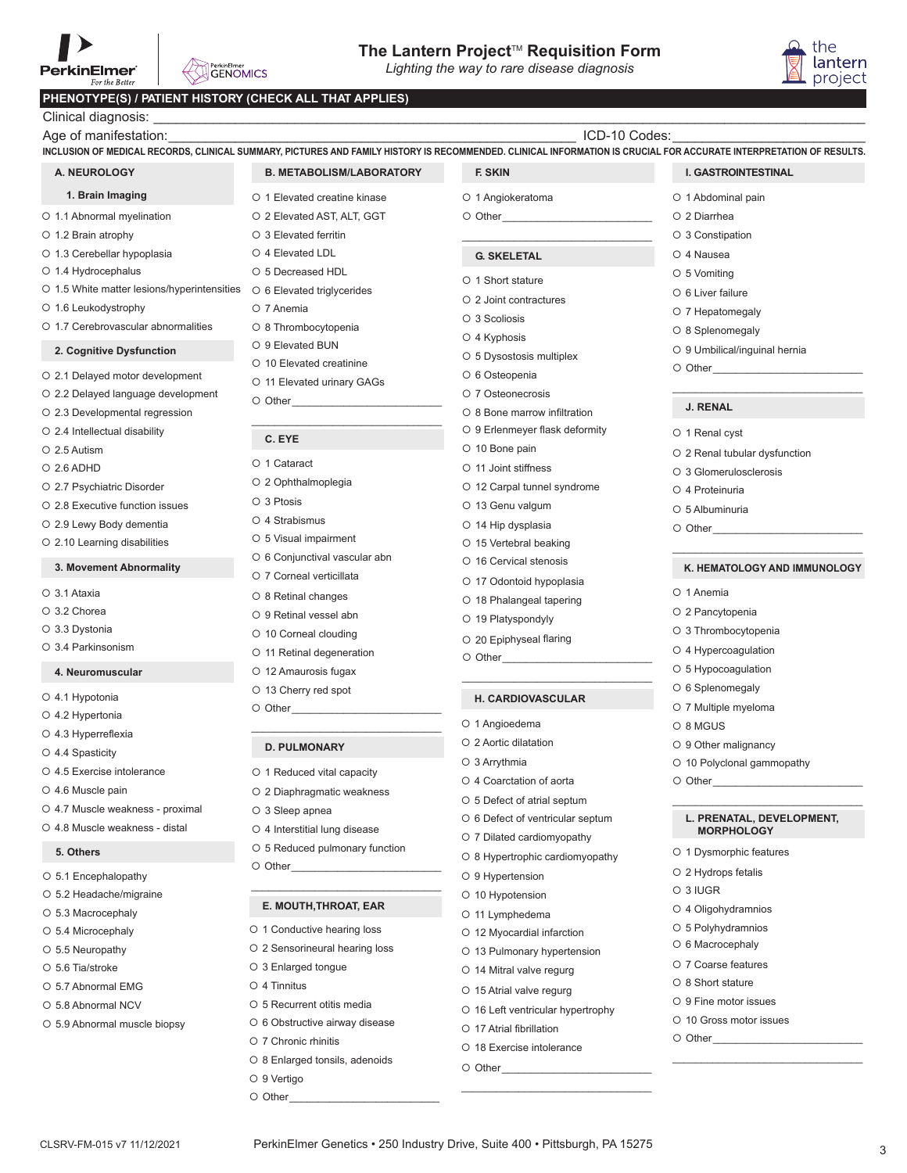# **The Lantern Project<sup>™</sup> Requisition Form**<br>Lighting the way to rare disease diagnosis

*Lighting the way to rare disease diagnosis*

#### **PHENOTYPE(S) / PATIENT HI**

| PerkinElmer<br><b>GENOMICS</b><br>For the Better        |                                                             | Lighting the way to rare disease diagnosis                     | project                                                                                                                                                                                                                        |
|---------------------------------------------------------|-------------------------------------------------------------|----------------------------------------------------------------|--------------------------------------------------------------------------------------------------------------------------------------------------------------------------------------------------------------------------------|
| PHENOTYPE(S) / PATIENT HISTORY (CHECK ALL THAT APPLIES) |                                                             |                                                                |                                                                                                                                                                                                                                |
| Clinical diagnosis: _                                   | <u> 1989 - Johann Stoff, amerikansk politiker (d. 1989)</u> |                                                                |                                                                                                                                                                                                                                |
| Age of manifestation:                                   |                                                             | ICD-10 Codes:                                                  |                                                                                                                                                                                                                                |
|                                                         |                                                             |                                                                | INCLUSION OF MEDICAL RECORDS, CLINICAL SUMMARY, PICTURES AND FAMILY HISTORY IS RECOMMENDED. CLINICAL INFORMATION IS CRUCIAL FOR ACCURATE INTERPRETATION OF RESULTS                                                             |
| A. NEUROLOGY                                            | <b>B. METABOLISM/LABORATORY</b>                             | F. SKIN                                                        | <b>I. GASTROINTESTINAL</b>                                                                                                                                                                                                     |
| 1. Brain Imaging                                        | O 1 Elevated creatine kinase                                | O 1 Angiokeratoma                                              | O 1 Abdominal pain                                                                                                                                                                                                             |
| O 1.1 Abnormal myelination                              | O 2 Elevated AST, ALT, GGT                                  |                                                                | O 2 Diarrhea                                                                                                                                                                                                                   |
| O 1.2 Brain atrophy                                     | ○ 3 Elevated ferritin                                       |                                                                | ○ 3 Constipation                                                                                                                                                                                                               |
| O 1.3 Cerebellar hypoplasia                             | O 4 Elevated LDL                                            | <b>G. SKELETAL</b>                                             | O 4 Nausea                                                                                                                                                                                                                     |
| ○ 1.4 Hydrocephalus                                     | ○ 5 Decreased HDL                                           | O 1 Short stature                                              | $\circ$ 5 Vomiting                                                                                                                                                                                                             |
| O 1.5 White matter lesions/hyperintensities             | ○ 6 Elevated triglycerides                                  | ○ 2 Joint contractures                                         | O 6 Liver failure                                                                                                                                                                                                              |
| O 1.6 Leukodystrophy                                    | O 7 Anemia                                                  | O 3 Scoliosis                                                  | O 7 Hepatomegaly                                                                                                                                                                                                               |
| O 1.7 Cerebrovascular abnormalities                     | O 8 Thrombocytopenia                                        | O 4 Kyphosis                                                   | O 8 Splenomegaly                                                                                                                                                                                                               |
| 2. Cognitive Dysfunction                                | ○ 9 Elevated BUN                                            | O 5 Dysostosis multiplex                                       | O 9 Umbilical/inguinal hernia                                                                                                                                                                                                  |
| O 2.1 Delayed motor development                         | O 10 Elevated creatinine                                    | O 6 Osteopenia                                                 |                                                                                                                                                                                                                                |
| O 2.2 Delayed language development                      | O 11 Elevated urinary GAGs                                  | O 7 Osteonecrosis                                              |                                                                                                                                                                                                                                |
| O 2.3 Developmental regression                          |                                                             | ○ 8 Bone marrow infiltration                                   | <b>J. RENAL</b>                                                                                                                                                                                                                |
| O 2.4 Intellectual disability                           |                                                             | ○ 9 Erlenmeyer flask deformity                                 | O 1 Renal cyst                                                                                                                                                                                                                 |
| O 2.5 Autism                                            | C. EYE                                                      | O 10 Bone pain                                                 | O 2 Renal tubular dysfunction                                                                                                                                                                                                  |
| $O$ 2.6 ADHD                                            | O 1 Cataract                                                | ○ 11 Joint stiffness                                           | O 3 Glomerulosclerosis                                                                                                                                                                                                         |
| O 2.7 Psychiatric Disorder                              | O 2 Ophthalmoplegia                                         | O 12 Carpal tunnel syndrome                                    | O 4 Proteinuria                                                                                                                                                                                                                |
| O 2.8 Executive function issues                         | O 3 Ptosis                                                  | O 13 Genu valgum                                               | O 5 Albuminuria                                                                                                                                                                                                                |
| O 2.9 Lewy Body dementia                                | O 4 Strabismus                                              | O 14 Hip dysplasia                                             |                                                                                                                                                                                                                                |
| O 2.10 Learning disabilities                            | O 5 Visual impairment                                       | ○ 15 Vertebral beaking                                         |                                                                                                                                                                                                                                |
| 3. Movement Abnormality                                 | O 6 Conjunctival vascular abn                               | O 16 Cervical stenosis                                         | K. HEMATOLOGY AND IMMUNOLOGY                                                                                                                                                                                                   |
|                                                         | O 7 Corneal verticillata                                    | O 17 Odontoid hypoplasia                                       |                                                                                                                                                                                                                                |
| O 3.1 Ataxia                                            | O 8 Retinal changes                                         | O 18 Phalangeal tapering                                       | O 1 Anemia                                                                                                                                                                                                                     |
| O 3.2 Chorea                                            | ○ 9 Retinal vessel abn                                      | O 19 Platyspondyly                                             | O 2 Pancytopenia                                                                                                                                                                                                               |
| O 3.3 Dystonia                                          | ○ 10 Corneal clouding                                       | ○ 20 Epiphyseal flaring                                        | O 3 Thrombocytopenia                                                                                                                                                                                                           |
| O 3.4 Parkinsonism                                      | O 11 Retinal degeneration                                   |                                                                | O 4 Hypercoagulation                                                                                                                                                                                                           |
| 4. Neuromuscular                                        | O 12 Amaurosis fugax                                        |                                                                | O 5 Hypocoagulation                                                                                                                                                                                                            |
| O 4.1 Hypotonia                                         | O 13 Cherry red spot                                        | <b>H. CARDIOVASCULAR</b>                                       | O 6 Splenomegaly                                                                                                                                                                                                               |
| O 4.2 Hypertonia                                        | O Other                                                     |                                                                | O 7 Multiple myeloma                                                                                                                                                                                                           |
| O 4.3 Hyperreflexia                                     |                                                             | O 1 Angioedema                                                 | O 8 MGUS                                                                                                                                                                                                                       |
| O 4.4 Spasticity                                        | <b>D. PULMONARY</b>                                         | ○ 2 Aortic dilatation<br>O 3 Arrythmia                         | O 9 Other malignancy                                                                                                                                                                                                           |
| O 4.5 Exercise intolerance                              | O 1 Reduced vital capacity                                  | O 4 Coarctation of aorta                                       | O 10 Polyclonal gammopathy                                                                                                                                                                                                     |
| O 4.6 Muscle pain                                       | O 2 Diaphragmatic weakness                                  | ○ 5 Defect of atrial septum                                    | O Other and the other and the state of the state of the state of the state of the state of the state of the state of the state of the state of the state of the state of the state of the state of the state of the state of t |
| O 4.7 Muscle weakness - proximal                        | O 3 Sleep apnea                                             |                                                                | L. PRENATAL, DEVELOPMENT,                                                                                                                                                                                                      |
| O 4.8 Muscle weakness - distal                          | O 4 Interstitial lung disease                               | O 6 Defect of ventricular septum<br>O 7 Dilated cardiomyopathy | <b>MORPHOLOGY</b>                                                                                                                                                                                                              |
| 5. Others                                               | O 5 Reduced pulmonary function                              | $\circ$ 8 Hypertrophic cardiomyopathy                          | O 1 Dysmorphic features                                                                                                                                                                                                        |
| ○ 5.1 Encephalopathy                                    |                                                             | O 9 Hypertension                                               | O 2 Hydrops fetalis                                                                                                                                                                                                            |
| ○ 5.2 Headache/migraine                                 |                                                             | O 10 Hypotension                                               | O 3 IUGR                                                                                                                                                                                                                       |
| ○ 5.3 Macrocephaly                                      | E. MOUTH, THROAT, EAR                                       | O 11 Lymphedema                                                | O 4 Oligohydramnios                                                                                                                                                                                                            |
| ○ 5.4 Microcephaly                                      | ○ 1 Conductive hearing loss                                 | O 12 Myocardial infarction                                     | ○ 5 Polyhydramnios                                                                                                                                                                                                             |
| O 5.5 Neuropathy                                        | O 2 Sensorineural hearing loss                              | O 13 Pulmonary hypertension                                    | O 6 Macrocephaly                                                                                                                                                                                                               |
| O 5.6 Tia/stroke                                        | ○ 3 Enlarged tongue                                         | O 14 Mitral valve regurg                                       | O 7 Coarse features                                                                                                                                                                                                            |
| O 5.7 Abnormal EMG                                      | $\circ$ 4 Tinnitus                                          | ○ 15 Atrial valve regurg                                       | O 8 Short stature                                                                                                                                                                                                              |
| O 5.8 Abnormal NCV                                      | O 5 Recurrent otitis media                                  | O 16 Left ventricular hypertrophy                              | O 9 Fine motor issues                                                                                                                                                                                                          |
| O 5.9 Abnormal muscle biopsy                            | O 6 Obstructive airway disease                              | O 17 Atrial fibrillation                                       | O 10 Gross motor issues                                                                                                                                                                                                        |

- 
- O 8 Enlarged tonsils, adenoids
- O 9 Vertigo
- O Other

# **I. GASTROINTESTINAL**

- O 1 Abdominal pain
	- 2 Diarrhea 3 Constipation
	- O 4 Nausea
	- 5 Vomiting
	- O 6 Liver failure
	- 7 Hepatomegaly
	- O 8 Splenomegaly
	-
	- 9 Umbilical/inguinal hernia

#### **J. RENAL**

- O 1 Renal cyst
- 2 Renal tubular dysfunction
- O 3 Glomerulosclerosis
- 4 Proteinuria
- 5 Albuminuria
- $\circ$  Other

#### $\mathcal{L}_\text{max}$  , and the set of the set of the set of the set of the set of the set of the set of the set of the set of the set of the set of the set of the set of the set of the set of the set of the set of the set of the **K. HEMATOLOGY AND IMMUNOLOGY**

- O 1 Anemia
- 2 Pancytopenia
- O 3 Thrombocytopenia
- 4 Hypercoagulation
- O 5 Hypocoagulation
- O 6 Splenomegaly
- 7 Multiple myeloma
- 8 MGUS
- O 9 Other malignancy
- 10 Polyclonal gammopathy
- $\circ$  Other\_

#### $\mathcal{L}_\text{max}$  , where  $\mathcal{L}_\text{max}$  and  $\mathcal{L}_\text{max}$  are the set of  $\mathcal{L}_\text{max}$ **L. PRENATAL, DEVELOPMENT, MORPHOLOGY**

- O 1 Dysmorphic features
- O 2 Hydrops fetalis
- 3 IUGR
- 4 Oligohydramnios
- 5 Polyhydramnios
- O 6 Macrocephaly
- O 7 Coarse features
- O 8 Short stature
- O 9 Fine motor issues
- O 10 Gross motor issues

 $\mathcal{L}_\text{max}$  , where  $\mathcal{L}_\text{max}$  and  $\mathcal{L}_\text{max}$  are the set of  $\mathcal{L}_\text{max}$ 

 $\circ$  Other

 $O$  Other

O 18 Exercise intolerance

the lantern project

- 7 Chronic rhinitis
- 
- 
- 
- O 8 Hypertrophic cardiomyopathy
	-

 $\mathcal{L}_\text{max}$  , and the set of the set of the set of the set of the set of the set of the set of the set of the set of the set of the set of the set of the set of the set of the set of the set of the set of the set of the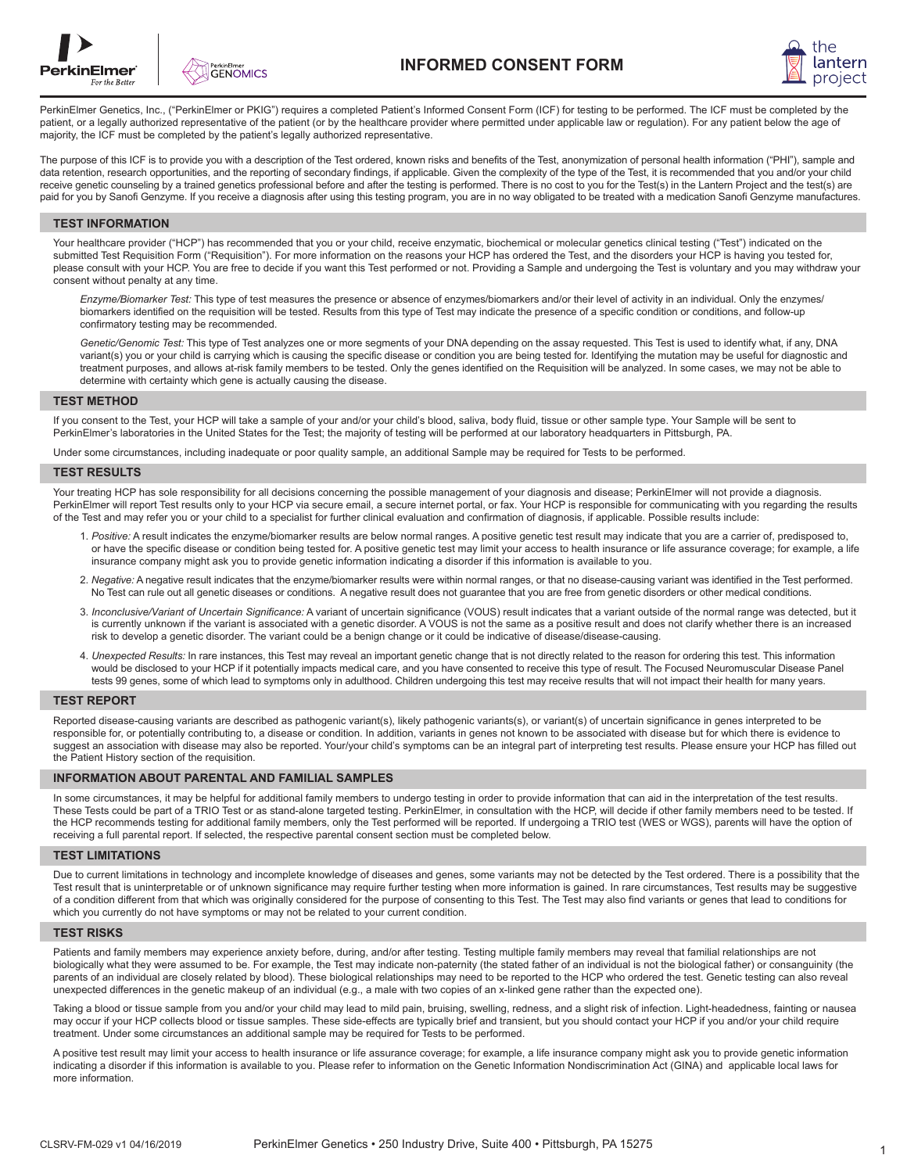



PerkinElmer Genetics, Inc., ("PerkinElmer or PKIG") requires a completed Patient's Informed Consent Form (ICF) for testing to be performed. The ICF must be completed by the patient, or a legally authorized representative of the patient (or by the healthcare provider where permitted under applicable law or regulation). For any patient below the age of majority, the ICF must be completed by the patient's legally authorized representative.

The purpose of this ICF is to provide you with a description of the Test ordered, known risks and benefits of the Test, anonymization of personal health information ("PHI"), sample and data retention, research opportunities, and the reporting of secondary findings, if applicable. Given the complexity of the type of the Test, it is recommended that you and/or your child receive genetic counseling by a trained genetics professional before and after the testing is performed. There is no cost to you for the Test(s) in the Lantern Project and the test(s) are paid for you by Sanofi Genzyme. If you receive a diagnosis after using this testing program, you are in no way obligated to be treated with a medication Sanofi Genzyme manufactures.

#### **TEST INFORMATION**

Your healthcare provider ("HCP") has recommended that you or your child, receive enzymatic, biochemical or molecular genetics clinical testing ("Test") indicated on the submitted Test Requisition Form ("Requisition"). For more information on the reasons your HCP has ordered the Test, and the disorders your HCP is having you tested for, please consult with your HCP. You are free to decide if you want this Test performed or not. Providing a Sample and undergoing the Test is voluntary and you may withdraw your consent without penalty at any time.

 *Enzyme/Biomarker Test:* This type of test measures the presence or absence of enzymes/biomarkers and/or their level of activity in an individual. Only the enzymes/ biomarkers identified on the requisition will be tested. Results from this type of Test may indicate the presence of a specific condition or conditions, and follow-up confirmatory testing may be recommended.

 *Genetic/Genomic Test:* This type of Test analyzes one or more segments of your DNA depending on the assay requested. This Test is used to identify what, if any, DNA variant(s) you or your child is carrying which is causing the specific disease or condition you are being tested for. Identifying the mutation may be useful for diagnostic and treatment purposes, and allows at-risk family members to be tested. Only the genes identified on the Requisition will be analyzed. In some cases, we may not be able to determine with certainty which gene is actually causing the disease.

#### **TEST METHOD**

If you consent to the Test, your HCP will take a sample of your and/or your child's blood, saliva, body fluid, tissue or other sample type. Your Sample will be sent to PerkinElmer's laboratories in the United States for the Test; the majority of testing will be performed at our laboratory headquarters in Pittsburgh, PA.

Under some circumstances, including inadequate or poor quality sample, an additional Sample may be required for Tests to be performed.

#### **TEST RESULTS**

Your treating HCP has sole responsibility for all decisions concerning the possible management of your diagnosis and disease; PerkinElmer will not provide a diagnosis. PerkinElmer will report Test results only to your HCP via secure email, a secure internet portal, or fax. Your HCP is responsible for communicating with you regarding the results of the Test and may refer you or your child to a specialist for further clinical evaluation and confirmation of diagnosis, if applicable. Possible results include:

- 1. *Positive:* A result indicates the enzyme/biomarker results are below normal ranges. A positive genetic test result may indicate that you are a carrier of, predisposed to, or have the specific disease or condition being tested for. A positive genetic test may limit your access to health insurance or life assurance coverage; for example, a life insurance company might ask you to provide genetic information indicating a disorder if this information is available to you.
- 2. *Negative:* A negative result indicates that the enzyme/biomarker results were within normal ranges, or that no disease-causing variant was identified in the Test performed. No Test can rule out all genetic diseases or conditions. A negative result does not guarantee that you are free from genetic disorders or other medical conditions.
- 3. *Inconclusive/Variant of Uncertain Significance:* A variant of uncertain significance (VOUS) result indicates that a variant outside of the normal range was detected, but it is currently unknown if the variant is associated with a genetic disorder. A VOUS is not the same as a positive result and does not clarify whether there is an increased risk to develop a genetic disorder. The variant could be a benign change or it could be indicative of disease/disease-causing.
- 4. *Unexpected Results:* In rare instances, this Test may reveal an important genetic change that is not directly related to the reason for ordering this test. This information would be disclosed to your HCP if it potentially impacts medical care, and you have consented to receive this type of result. The Focused Neuromuscular Disease Panel tests 99 genes, some of which lead to symptoms only in adulthood. Children undergoing this test may receive results that will not impact their health for many years.

#### **TEST REPORT**

Reported disease-causing variants are described as pathogenic variant(s), likely pathogenic variants(s), or variant(s) of uncertain significance in genes interpreted to be responsible for, or potentially contributing to, a disease or condition. In addition, variants in genes not known to be associated with disease but for which there is evidence to suggest an association with disease may also be reported. Your/your child's symptoms can be an integral part of interpreting test results. Please ensure your HCP has filled out the Patient History section of the requisition.

#### **INFORMATION ABOUT PARENTAL AND FAMILIAL SAMPLES**

In some circumstances, it may be helpful for additional family members to undergo testing in order to provide information that can aid in the interpretation of the test results. These Tests could be part of a TRIO Test or as stand-alone targeted testing. PerkinElmer, in consultation with the HCP, will decide if other family members need to be tested. If the HCP recommends testing for additional family members, only the Test performed will be reported. If undergoing a TRIO test (WES or WGS), parents will have the option of receiving a full parental report. If selected, the respective parental consent section must be completed below.

#### **TEST LIMITATIONS**

Due to current limitations in technology and incomplete knowledge of diseases and genes, some variants may not be detected by the Test ordered. There is a possibility that the Test result that is uninterpretable or of unknown significance may require further testing when more information is gained. In rare circumstances, Test results may be suggestive of a condition different from that which was originally considered for the purpose of consenting to this Test. The Test may also find variants or genes that lead to conditions for which you currently do not have symptoms or may not be related to your current condition.

#### **TEST RISKS**

Patients and family members may experience anxiety before, during, and/or after testing. Testing multiple family members may reveal that familial relationships are not biologically what they were assumed to be. For example, the Test may indicate non-paternity (the stated father of an individual is not the biological father) or consanguinity (the parents of an individual are closely related by blood). These biological relationships may need to be reported to the HCP who ordered the test. Genetic testing can also reveal unexpected differences in the genetic makeup of an individual (e.g., a male with two copies of an x-linked gene rather than the expected one).

Taking a blood or tissue sample from you and/or your child may lead to mild pain, bruising, swelling, redness, and a slight risk of infection. Light-headedness, fainting or nausea may occur if your HCP collects blood or tissue samples. These side-effects are typically brief and transient, but you should contact your HCP if you and/or your child require treatment. Under some circumstances an additional sample may be required for Tests to be performed.

A positive test result may limit your access to health insurance or life assurance coverage; for example, a life insurance company might ask you to provide genetic information indicating a disorder if this information is available to you. Please refer to information on the Genetic Information Nondiscrimination Act (GINA) and applicable local laws for more information.